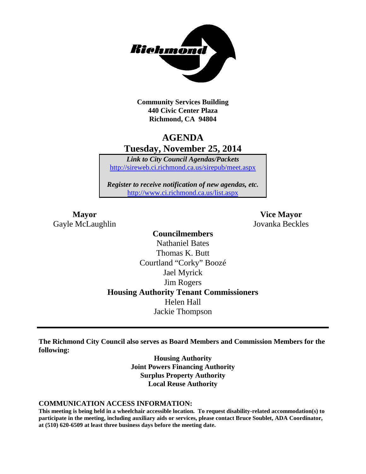

**Community Services Building 440 Civic Center Plaza Richmond, CA 94804**

## **AGENDA Tuesday, November 25, 2014**

*Link to City Council Agendas/Packets* <http://sireweb.ci.richmond.ca.us/sirepub/meet.aspx>

*Register to receive notification of new agendas, etc.* <http://www.ci.richmond.ca.us/list.aspx>

Gayle McLaughlin Jovanka Beckles

**Mayor Vice Mayor**

**Councilmembers** Nathaniel Bates Thomas K. Butt Courtland "Corky" Boozé Jael Myrick Jim Rogers **Housing Authority Tenant Commissioners** Helen Hall Jackie Thompson

**The Richmond City Council also serves as Board Members and Commission Members for the following:**

> **Housing Authority Joint Powers Financing Authority Surplus Property Authority Local Reuse Authority**

#### **COMMUNICATION ACCESS INFORMATION:**

**This meeting is being held in a wheelchair accessible location. To request disability-related accommodation(s) to participate in the meeting, including auxiliary aids or services, please contact Bruce Soublet, ADA Coordinator, at (510) 620-6509 at least three business days before the meeting date.**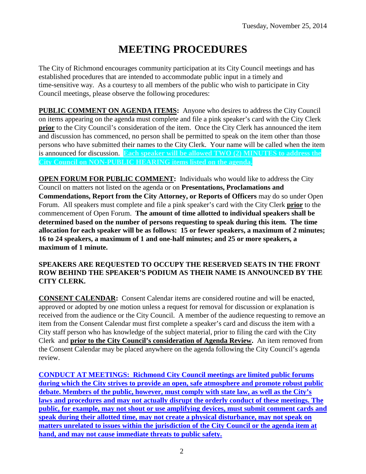# **MEETING PROCEDURES**

The City of Richmond encourages community participation at its City Council meetings and has established procedures that are intended to accommodate public input in a timely and time-sensitive way. As a courtesy to all members of the public who wish to participate in City Council meetings, please observe the following procedures:

**PUBLIC COMMENT ON AGENDA ITEMS:** Anyone who desires to address the City Council on items appearing on the agenda must complete and file a pink speaker's card with the City Clerk **prior** to the City Council's consideration of the item. Once the City Clerk has announced the item and discussion has commenced, no person shall be permitted to speak on the item other than those persons who have submitted their names to the City Clerk. Your name will be called when the item is announced for discussion. **Each speaker will be allowed TWO (2) MINUTES to address the City Council on NON-PUBLIC HEARING items listed on the agenda.**

**OPEN FORUM FOR PUBLIC COMMENT:** Individuals who would like to address the City Council on matters not listed on the agenda or on **Presentations, Proclamations and Commendations, Report from the City Attorney, or Reports of Officers** may do so under Open Forum. All speakers must complete and file a pink speaker's card with the City Clerk **prior** to the commencement of Open Forum. **The amount of time allotted to individual speakers shall be determined based on the number of persons requesting to speak during this item. The time allocation for each speaker will be as follows: 15 or fewer speakers, a maximum of 2 minutes; 16 to 24 speakers, a maximum of 1 and one-half minutes; and 25 or more speakers, a maximum of 1 minute.**

#### **SPEAKERS ARE REQUESTED TO OCCUPY THE RESERVED SEATS IN THE FRONT ROW BEHIND THE SPEAKER'S PODIUM AS THEIR NAME IS ANNOUNCED BY THE CITY CLERK.**

**CONSENT CALENDAR:** Consent Calendar items are considered routine and will be enacted, approved or adopted by one motion unless a request for removal for discussion or explanation is received from the audience or the City Council. A member of the audience requesting to remove an item from the Consent Calendar must first complete a speaker's card and discuss the item with a City staff person who has knowledge of the subject material, prior to filing the card with the City Clerk and **prior to the City Council's consideration of Agenda Review.** An item removed from the Consent Calendar may be placed anywhere on the agenda following the City Council's agenda review.

**CONDUCT AT MEETINGS: Richmond City Council meetings are limited public forums during which the City strives to provide an open, safe atmosphere and promote robust public debate. Members of the public, however, must comply with state law, as well as the City's laws and procedures and may not actually disrupt the orderly conduct of these meetings. The public, for example, may not shout or use amplifying devices, must submit comment cards and speak during their allotted time, may not create a physical disturbance, may not speak on matters unrelated to issues within the jurisdiction of the City Council or the agenda item at hand, and may not cause immediate threats to public safety.**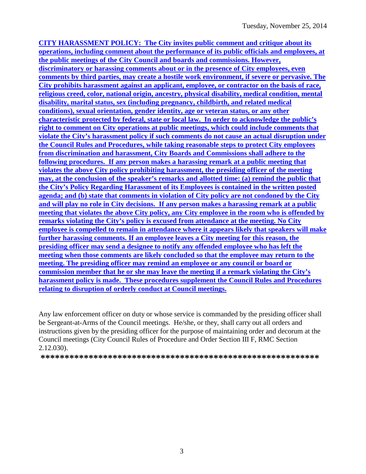**CITY HARASSMENT POLICY: The City invites public comment and critique about its operations, including comment about the performance of its public officials and employees, at the public meetings of the City Council and boards and commissions. However, discriminatory or harassing comments about or in the presence of City employees, even comments by third parties, may create a hostile work environment, if severe or pervasive. The City prohibits harassment against an applicant, employee, or contractor on the basis of race, religious creed, color, national origin, ancestry, physical disability, medical condition, mental disability, marital status, sex (including pregnancy, childbirth, and related medical conditions), sexual orientation, gender identity, age or veteran status, or any other characteristic protected by federal, state or local law. In order to acknowledge the public's right to comment on City operations at public meetings, which could include comments that violate the City's harassment policy if such comments do not cause an actual disruption under the Council Rules and Procedures, while taking reasonable steps to protect City employees from discrimination and harassment, City Boards and Commissions shall adhere to the following procedures. If any person makes a harassing remark at a public meeting that violates the above City policy prohibiting harassment, the presiding officer of the meeting may, at the conclusion of the speaker's remarks and allotted time: (a) remind the public that the City's Policy Regarding Harassment of its Employees is contained in the written posted agenda; and (b) state that comments in violation of City policy are not condoned by the City and will play no role in City decisions. If any person makes a harassing remark at a public meeting that violates the above City policy, any City employee in the room who is offended by remarks violating the City's policy is excused from attendance at the meeting. No City employee is compelled to remain in attendance where it appears likely that speakers will make further harassing comments. If an employee leaves a City meeting for this reason, the presiding officer may send a designee to notify any offended employee who has left the meeting when those comments are likely concluded so that the employee may return to the meeting. The presiding officer may remind an employee or any council or board or commission member that he or she may leave the meeting if a remark violating the City's harassment policy is made. These procedures supplement the Council Rules and Procedures relating to disruption of orderly conduct at Council meetings.**

Any law enforcement officer on duty or whose service is commanded by the presiding officer shall be Sergeant-at-Arms of the Council meetings. He/she, or they, shall carry out all orders and instructions given by the presiding officer for the purpose of maintaining order and decorum at the Council meetings (City Council Rules of Procedure and Order Section III F, RMC Section 2.12.030).

**\*\*\*\*\*\*\*\*\*\*\*\*\*\*\*\*\*\*\*\*\*\*\*\*\*\*\*\*\*\*\*\*\*\*\*\*\*\*\*\*\*\*\*\*\*\*\*\*\*\*\*\*\*\*\*\*\*\***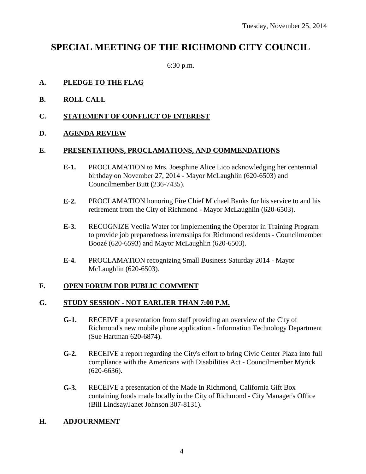## **SPECIAL MEETING OF THE RICHMOND CITY COUNCIL**

6:30 p.m.

#### **A. PLEDGE TO THE FLAG**

- **B. ROLL CALL**
- **C. STATEMENT OF CONFLICT OF INTEREST**

#### **D. AGENDA REVIEW**

#### **E. PRESENTATIONS, PROCLAMATIONS, AND COMMENDATIONS**

- **E-1.** PROCLAMATION to Mrs. Joesphine Alice Lico acknowledging her centennial birthday on November 27, 2014 - Mayor McLaughlin (620-6503) and Councilmember Butt (236-7435).
- **E-2.** PROCLAMATION honoring Fire Chief Michael Banks for his service to and his retirement from the City of Richmond - Mayor McLaughlin (620-6503).
- **E-3.** RECOGNIZE Veolia Water for implementing the Operator in Training Program to provide job preparedness internships for Richmond residents - Councilmember Boozé (620-6593) and Mayor McLaughlin (620-6503).
- **E-4.** PROCLAMATION recognizing Small Business Saturday 2014 Mayor McLaughlin (620-6503).

#### **F. OPEN FORUM FOR PUBLIC COMMENT**

#### **G. STUDY SESSION - NOT EARLIER THAN 7:00 P.M.**

- **G-1.** RECEIVE a presentation from staff providing an overview of the City of Richmond's new mobile phone application - Information Technology Department (Sue Hartman 620-6874).
- **G-2.** RECEIVE a report regarding the City's effort to bring Civic Center Plaza into full compliance with the Americans with Disabilities Act - Councilmember Myrick (620-6636).
- **G-3.** RECEIVE a presentation of the Made In Richmond, California Gift Box containing foods made locally in the City of Richmond - City Manager's Office (Bill Lindsay/Janet Johnson 307-8131).

### **H. ADJOURNMENT**